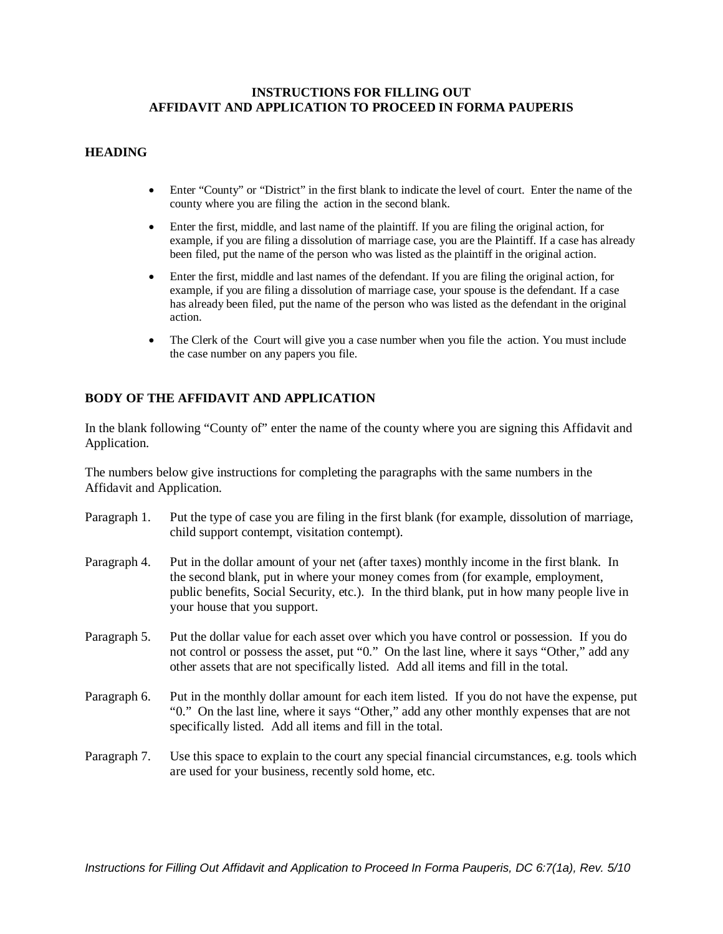#### **INSTRUCTIONS FOR FILLING OUT AFFIDAVIT AND APPLICATION TO PROCEED IN FORMA PAUPERIS**

## **HEADING**

- Enter "County" or "District" in the first blank to indicate the level of court. Enter the name of the county where you are filing the action in the second blank.
- Enter the first, middle, and last name of the plaintiff. If you are filing the original action, for example, if you are filing a dissolution of marriage case, you are the Plaintiff. If a case has already been filed, put the name of the person who was listed as the plaintiff in the original action.
- Enter the first, middle and last names of the defendant. If you are filing the original action, for example, if you are filing a dissolution of marriage case, your spouse is the defendant. If a case has already been filed, put the name of the person who was listed as the defendant in the original action.
- The Clerk of the Court will give you a case number when you file the action. You must include the case number on any papers you file.

# **BODY OF THE AFFIDAVIT AND APPLICATION**

In the blank following "County of" enter the name of the county where you are signing this Affidavit and Application.

The numbers below give instructions for completing the paragraphs with the same numbers in the Affidavit and Application.

- Paragraph 1. Put the type of case you are filing in the first blank (for example, dissolution of marriage, child support contempt, visitation contempt).
- Paragraph 4. Put in the dollar amount of your net (after taxes) monthly income in the first blank. In the second blank, put in where your money comes from (for example, employment, public benefits, Social Security, etc.). In the third blank, put in how many people live in your house that you support.
- Paragraph 5. Put the dollar value for each asset over which you have control or possession. If you do not control or possess the asset, put "0." On the last line, where it says "Other," add any other assets that are not specifically listed. Add all items and fill in the total.
- Paragraph 6. Put in the monthly dollar amount for each item listed. If you do not have the expense, put "0." On the last line, where it says "Other," add any other monthly expenses that are not specifically listed. Add all items and fill in the total.
- Paragraph 7. Use this space to explain to the court any special financial circumstances, e.g. tools which are used for your business, recently sold home, etc.